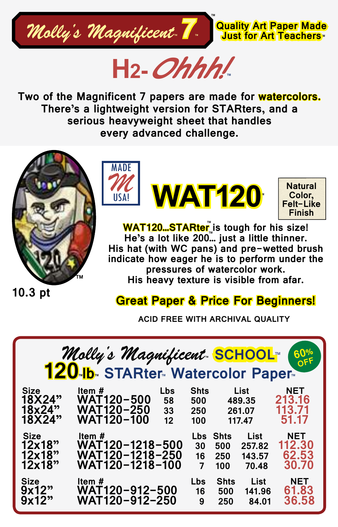

**H2-Ohhh! ™**

**Two of the Magnificent 7 papers are made for watercolors. There's a lightweight version for STARters, and a serious heavyweight sheet that handles every advanced challenge.**



MADE *M* USA! **WAT120**

**Natural Color, Felt-Like Finish**

™

**WAT120...STARter**៉ॣis tough for his size! <u>He's a lot like 200…</u> just a little thinner. **His hat (with WC pans) and pre-wetted brush indicate how eager he is to perform under the pressures of watercolor work. His heavy texture is visible from afar.** 

**10.3 pt**

## **Great Paper & Price For Beginners!**

**ACID FREE WITH ARCHIVAL QUALITY**

| Molly's Magnificent SCHOOL (1997)<br><b>60%</b> |                                                  |           |                  |                    |                |                     |
|-------------------------------------------------|--------------------------------------------------|-----------|------------------|--------------------|----------------|---------------------|
| Size<br>18X24"                                  | Item $#$<br><b>WAT120-500</b>                    | Lbs<br>58 | Shts<br>500      |                    | List<br>489.35 | NET<br>213.16       |
| 18x24"                                          | <b>WAT120-250</b>                                | 33        | 250              | 261.07             |                | 113.71              |
| 18X24"                                          | <b>WAT120-100</b>                                | 12        | 100              | 117.47             |                | 51.17               |
| Size<br>12x18"                                  | Item $\#$ and the set of $\#$<br>WAT120-1218-500 |           | <b>Lbs</b><br>30 | <b>Shts</b><br>500 | List<br>257.82 | NET<br>112.30       |
| 12x18"                                          | <b>WAT120-1218-250</b>                           |           | 16               | 250                | 143.57         | 62.53               |
| 12x18"                                          | WAT120-1218-100                                  |           | $\overline{7}$   | 100                | 70.48          | 30.70               |
| Size<br>9x12"                                   | Item $#$<br><b>WAT120-912-500</b>                |           | <b>Lbs</b><br>16 | <b>Shts</b><br>500 | List<br>141.96 | <b>NET</b><br>61.83 |
| 9x12"                                           | WAT120-912-250                                   |           | 9                | 250                | 84.01          | 36.58               |